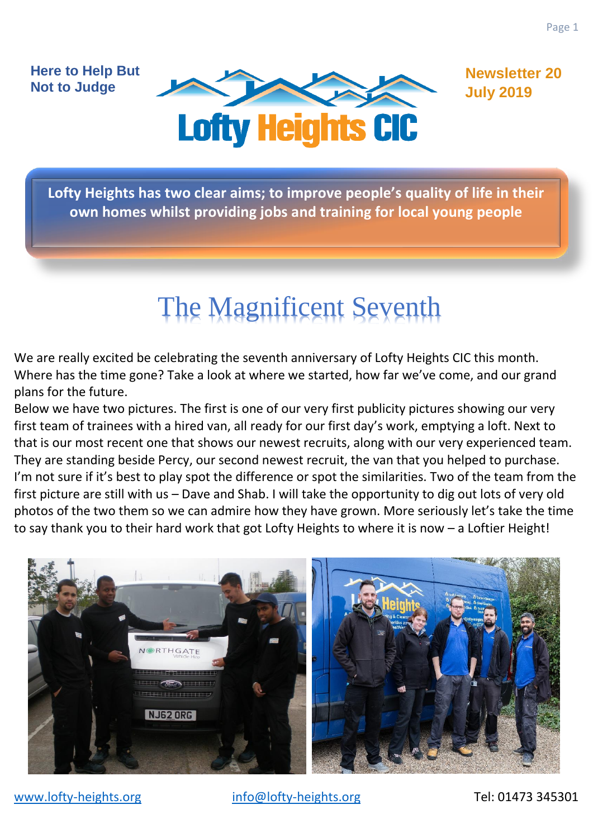**Here to Help But Not to Judge**



**Newsletter 20 July 2019**

**Lofty Heights has two clear aims; to improve people's quality of life in their own homes whilst providing jobs and training for local young people**

# The Magnificent Seventh

We are really excited be celebrating the seventh anniversary of Lofty Heights CIC this month. Where has the time gone? Take a look at where we started, how far we've come, and our grand plans for the future.

Below we have two pictures. The first is one of our very first publicity pictures showing our very first team of trainees with a hired van, all ready for our first day's work, emptying a loft. Next to that is our most recent one that shows our newest recruits, along with our very experienced team. They are standing beside Percy, our second newest recruit, the van that you helped to purchase. I'm not sure if it's best to play spot the difference or spot the similarities. Two of the team from the first picture are still with us – Dave and Shab. I will take the opportunity to dig out lots of very old photos of the two them so we can admire how they have grown. More seriously let's take the time to say thank you to their hard work that got Lofty Heights to where it is now – a Loftier Height!

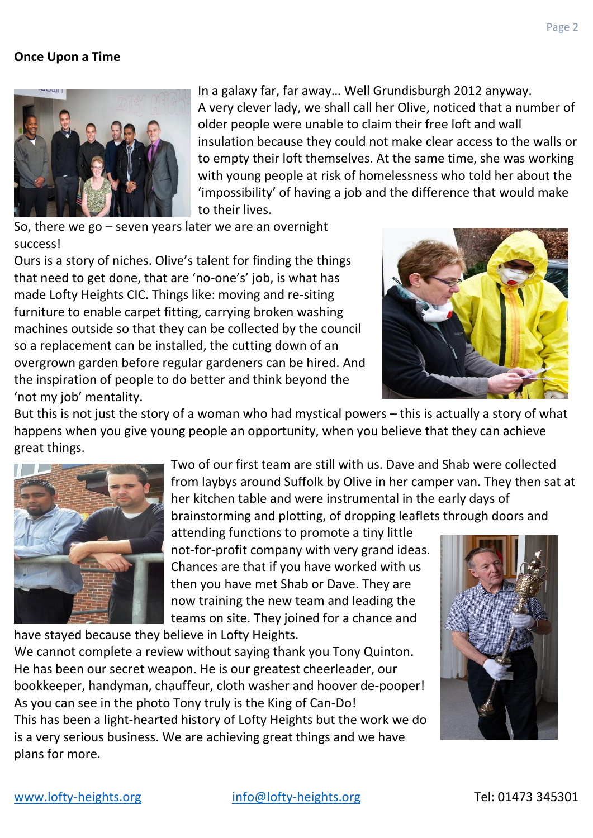## **Once Upon a Time**



In a galaxy far, far away… Well Grundisburgh 2012 anyway. A very clever lady, we shall call her Olive, noticed that a number of older people were unable to claim their free loft and wall insulation because they could not make clear access to the walls or to empty their loft themselves. At the same time, she was working with young people at risk of homelessness who told her about the 'impossibility' of having a job and the difference that would make to their lives.

So, there we go – seven years later we are an overnight success!

Ours is a story of niches. Olive's talent for finding the things that need to get done, that are 'no-one's' job, is what has made Lofty Heights CIC. Things like: moving and re-siting furniture to enable carpet fitting, carrying broken washing machines outside so that they can be collected by the council so a replacement can be installed, the cutting down of an overgrown garden before regular gardeners can be hired. And the inspiration of people to do better and think beyond the 'not my job' mentality.



But this is not just the story of a woman who had mystical powers – this is actually a story of what happens when you give young people an opportunity, when you believe that they can achieve great things.



Two of our first team are still with us. Dave and Shab were collected from laybys around Suffolk by Olive in her camper van. They then sat at her kitchen table and were instrumental in the early days of brainstorming and plotting, of dropping leaflets through doors and

attending functions to promote a tiny little not-for-profit company with very grand ideas. Chances are that if you have worked with us then you have met Shab or Dave. They are now training the new team and leading the teams on site. They joined for a chance and

have stayed because they believe in Lofty Heights.

We cannot complete a review without saying thank you Tony Quinton. He has been our secret weapon. He is our greatest cheerleader, our bookkeeper, handyman, chauffeur, cloth washer and hoover de-pooper! As you can see in the photo Tony truly is the King of Can-Do! This has been a light-hearted history of Lofty Heights but the work we do is a very serious business. We are achieving great things and we have plans for more.

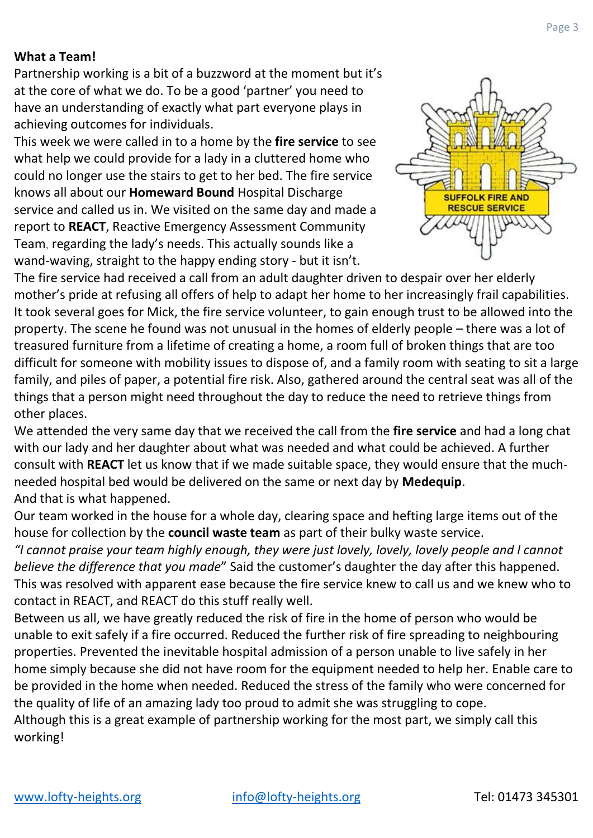Partnership working is a bit of a buzzword at the moment but it's at the core of what we do. To be a good 'partner' you need to have an understanding of exactly what part everyone plays in achieving outcomes for individuals.

This week we were called in to a home by the **fire service** to see what help we could provide for a lady in a cluttered home who could no longer use the stairs to get to her bed. The fire service knows all about our **Homeward Bound** Hospital Discharge service and called us in. We visited on the same day and made a report to **REACT**, Reactive Emergency Assessment Community Team, regarding the lady's needs. This actually sounds like a wand-waving, straight to the happy ending story - but it isn't.



The fire service had received a call from an adult daughter driven to despair over her elderly mother's pride at refusing all offers of help to adapt her home to her increasingly frail capabilities. It took several goes for Mick, the fire service volunteer, to gain enough trust to be allowed into the property. The scene he found was not unusual in the homes of elderly people – there was a lot of treasured furniture from a lifetime of creating a home, a room full of broken things that are too difficult for someone with mobility issues to dispose of, and a family room with seating to sit a large family, and piles of paper, a potential fire risk. Also, gathered around the central seat was all of the things that a person might need throughout the day to reduce the need to retrieve things from other places.

We attended the very same day that we received the call from the **fire service** and had a long chat with our lady and her daughter about what was needed and what could be achieved. A further consult with **REACT** let us know that if we made suitable space, they would ensure that the muchneeded hospital bed would be delivered on the same or next day by **Medequip**. And that is what happened.

Our team worked in the house for a whole day, clearing space and hefting large items out of the house for collection by the **council waste team** as part of their bulky waste service.

*"I cannot praise your team highly enough, they were just lovely, lovely, lovely people and I cannot believe the difference that you made*" Said the customer's daughter the day after this happened. This was resolved with apparent ease because the fire service knew to call us and we knew who to contact in REACT, and REACT do this stuff really well.

Between us all, we have greatly reduced the risk of fire in the home of person who would be unable to exit safely if a fire occurred. Reduced the further risk of fire spreading to neighbouring properties. Prevented the inevitable hospital admission of a person unable to live safely in her home simply because she did not have room for the equipment needed to help her. Enable care to be provided in the home when needed. Reduced the stress of the family who were concerned for the quality of life of an amazing lady too proud to admit she was struggling to cope.

Although this is a great example of partnership working for the most part, we simply call this working!

Page 3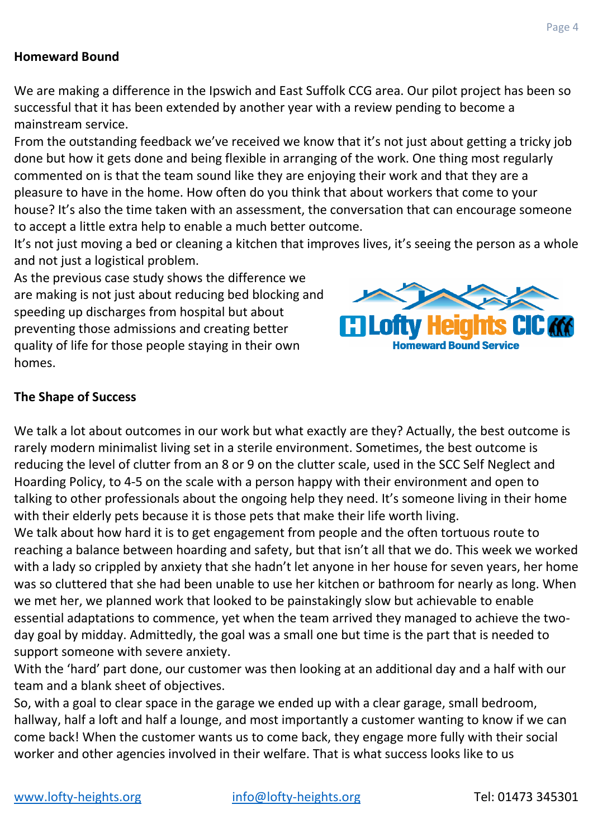## **Homeward Bound**

We are making a difference in the Ipswich and East Suffolk CCG area. Our pilot project has been so successful that it has been extended by another year with a review pending to become a mainstream service.

From the outstanding feedback we've received we know that it's not just about getting a tricky job done but how it gets done and being flexible in arranging of the work. One thing most regularly commented on is that the team sound like they are enjoying their work and that they are a pleasure to have in the home. How often do you think that about workers that come to your house? It's also the time taken with an assessment, the conversation that can encourage someone to accept a little extra help to enable a much better outcome.

It's not just moving a bed or cleaning a kitchen that improves lives, it's seeing the person as a whole and not just a logistical problem.

As the previous case study shows the difference we are making is not just about reducing bed blocking and speeding up discharges from hospital but about preventing those admissions and creating better quality of life for those people staying in their own homes.



# **The Shape of Success**

We talk a lot about outcomes in our work but what exactly are they? Actually, the best outcome is rarely modern minimalist living set in a sterile environment. Sometimes, the best outcome is reducing the level of clutter from an 8 or 9 on the clutter scale, used in the SCC Self Neglect and Hoarding Policy, to 4-5 on the scale with a person happy with their environment and open to talking to other professionals about the ongoing help they need. It's someone living in their home with their elderly pets because it is those pets that make their life worth living.

We talk about how hard it is to get engagement from people and the often tortuous route to reaching a balance between hoarding and safety, but that isn't all that we do. This week we worked with a lady so crippled by anxiety that she hadn't let anyone in her house for seven years, her home was so cluttered that she had been unable to use her kitchen or bathroom for nearly as long. When we met her, we planned work that looked to be painstakingly slow but achievable to enable essential adaptations to commence, yet when the team arrived they managed to achieve the twoday goal by midday. Admittedly, the goal was a small one but time is the part that is needed to support someone with severe anxiety.

With the 'hard' part done, our customer was then looking at an additional day and a half with our team and a blank sheet of objectives.

So, with a goal to clear space in the garage we ended up with a clear garage, small bedroom, hallway, half a loft and half a lounge, and most importantly a customer wanting to know if we can come back! When the customer wants us to come back, they engage more fully with their social worker and other agencies involved in their welfare. That is what success looks like to us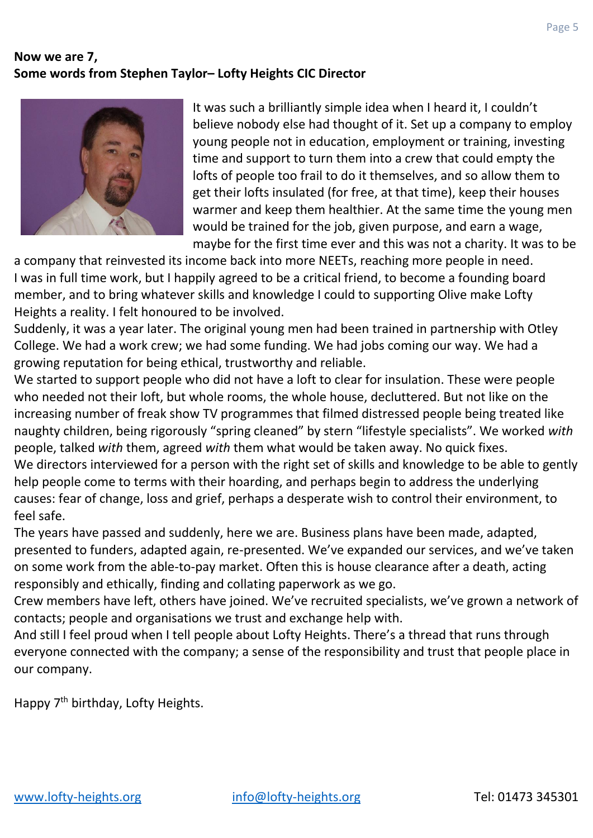# **Now we are 7, Some words from Stephen Taylor– Lofty Heights CIC Director**



It was such a brilliantly simple idea when I heard it, I couldn't believe nobody else had thought of it. Set up a company to employ young people not in education, employment or training, investing time and support to turn them into a crew that could empty the lofts of people too frail to do it themselves, and so allow them to get their lofts insulated (for free, at that time), keep their houses warmer and keep them healthier. At the same time the young men would be trained for the job, given purpose, and earn a wage, maybe for the first time ever and this was not a charity. It was to be

a company that reinvested its income back into more NEETs, reaching more people in need. I was in full time work, but I happily agreed to be a critical friend, to become a founding board member, and to bring whatever skills and knowledge I could to supporting Olive make Lofty Heights a reality. I felt honoured to be involved.

Suddenly, it was a year later. The original young men had been trained in partnership with Otley College. We had a work crew; we had some funding. We had jobs coming our way. We had a growing reputation for being ethical, trustworthy and reliable.

We started to support people who did not have a loft to clear for insulation. These were people who needed not their loft, but whole rooms, the whole house, decluttered. But not like on the increasing number of freak show TV programmes that filmed distressed people being treated like naughty children, being rigorously "spring cleaned" by stern "lifestyle specialists". We worked *with* people, talked *with* them, agreed *with* them what would be taken away. No quick fixes. We directors interviewed for a person with the right set of skills and knowledge to be able to gently help people come to terms with their hoarding, and perhaps begin to address the underlying causes: fear of change, loss and grief, perhaps a desperate wish to control their environment, to feel safe.

The years have passed and suddenly, here we are. Business plans have been made, adapted, presented to funders, adapted again, re-presented. We've expanded our services, and we've taken on some work from the able-to-pay market. Often this is house clearance after a death, acting responsibly and ethically, finding and collating paperwork as we go.

Crew members have left, others have joined. We've recruited specialists, we've grown a network of contacts; people and organisations we trust and exchange help with.

And still I feel proud when I tell people about Lofty Heights. There's a thread that runs through everyone connected with the company; a sense of the responsibility and trust that people place in our company.

Happy 7<sup>th</sup> birthday, Lofty Heights.